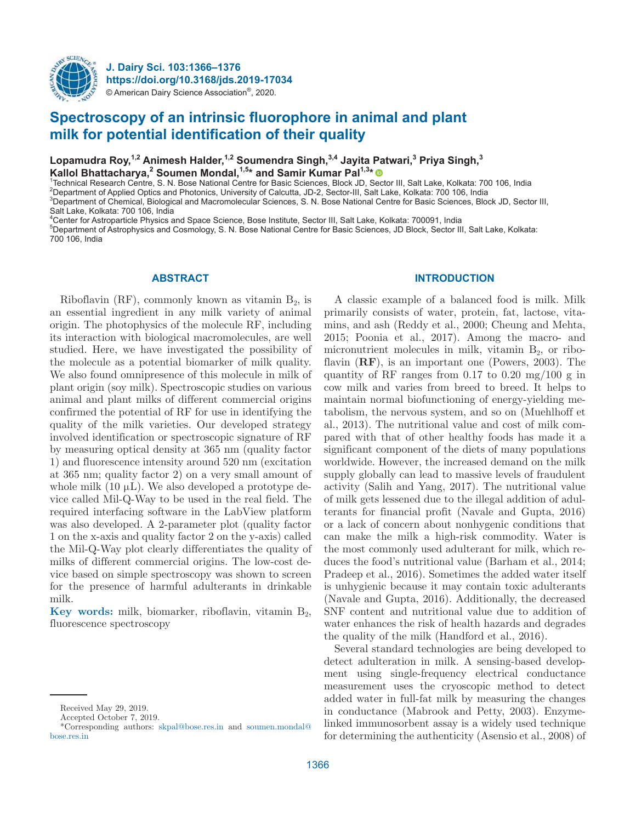

**J. Dairy Sci. 103:1366–1376 https://doi.org/10.3168/jds.2019-17034** © American Dairy Science Association®, 2020.

# **Spectroscopy of an intrinsic fluorophore in animal and plant milk for potential identification of their quality**

**Lopamudra Roy,1,2 Animesh Halder,1,2 Soumendra Singh,3,4 Jayita Patwari,<sup>3</sup> Priya Singh,<sup>3</sup>**  Kallol Bhattacharya,<sup>2</sup> Soumen Mondal,<sup>1,5</sup><sup>\*</sup> and Samir Kumar Pal<sup>1,3</sup><sup>\*</sup>

<sup>1</sup>Technical Research Centre, S. N. Bose National Centre for Basic Sciences, Block JD, Sector III, Salt Lake, Kolkata: 700 106, India

<sup>2</sup>Department of Applied Optics and Photonics, University of Calcutta, JD-2, Sector-III, Salt Lake, Kolkata: 700 106, India

<sup>3</sup>Department of Chemical, Biological and Macromolecular Sciences, S. N. Bose National Centre for Basic Sciences, Block JD, Sector III,

Salt Lake, Kolkata: 700 106, India

<sup>4</sup>Center for Astroparticle Physics and Space Science, Bose Institute, Sector III, Salt Lake, Kolkata: 700091, India

<sup>5</sup>Department of Astrophysics and Cosmology, S. N. Bose National Centre for Basic Sciences, JD Block, Sector III, Salt Lake, Kolkata: 700 106, India

# **ABSTRACT**

Riboflavin (RF), commonly known as vitamin  $B_2$ , is an essential ingredient in any milk variety of animal origin. The photophysics of the molecule RF, including its interaction with biological macromolecules, are well studied. Here, we have investigated the possibility of the molecule as a potential biomarker of milk quality. We also found omnipresence of this molecule in milk of plant origin (soy milk). Spectroscopic studies on various animal and plant milks of different commercial origins confirmed the potential of RF for use in identifying the quality of the milk varieties. Our developed strategy involved identification or spectroscopic signature of RF by measuring optical density at 365 nm (quality factor 1) and fluorescence intensity around 520 nm (excitation at 365 nm; quality factor 2) on a very small amount of whole milk  $(10 \mu L)$ . We also developed a prototype device called Mil-Q-Way to be used in the real field. The required interfacing software in the LabView platform was also developed. A 2-parameter plot (quality factor 1 on the x-axis and quality factor 2 on the y-axis) called the Mil-Q-Way plot clearly differentiates the quality of milks of different commercial origins. The low-cost device based on simple spectroscopy was shown to screen for the presence of harmful adulterants in drinkable milk.

**Key words:** milk, biomarker, riboflavin, vitamin B<sub>2</sub>, fluorescence spectroscopy

#### **INTRODUCTION**

A classic example of a balanced food is milk. Milk primarily consists of water, protein, fat, lactose, vitamins, and ash (Reddy et al., 2000; Cheung and Mehta, 2015; Poonia et al., 2017). Among the macro- and micronutrient molecules in milk, vitamin  $B_2$ , or riboflavin (**RF**), is an important one (Powers, 2003). The quantity of RF ranges from 0.17 to 0.20 mg/100 g in cow milk and varies from breed to breed. It helps to maintain normal biofunctioning of energy-yielding metabolism, the nervous system, and so on (Muehlhoff et al., 2013). The nutritional value and cost of milk compared with that of other healthy foods has made it a significant component of the diets of many populations worldwide. However, the increased demand on the milk supply globally can lead to massive levels of fraudulent activity (Salih and Yang, 2017). The nutritional value of milk gets lessened due to the illegal addition of adulterants for financial profit (Navale and Gupta, 2016) or a lack of concern about nonhygenic conditions that can make the milk a high-risk commodity. Water is the most commonly used adulterant for milk, which reduces the food's nutritional value (Barham et al., 2014; Pradeep et al., 2016). Sometimes the added water itself is unhygienic because it may contain toxic adulterants (Navale and Gupta, 2016). Additionally, the decreased SNF content and nutritional value due to addition of water enhances the risk of health hazards and degrades the quality of the milk (Handford et al., 2016).

Several standard technologies are being developed to detect adulteration in milk. A sensing-based development using single-frequency electrical conductance measurement uses the cryoscopic method to detect added water in full-fat milk by measuring the changes in conductance (Mabrook and Petty, 2003). Enzymelinked immunosorbent assay is a widely used technique for determining the authenticity (Asensio et al., 2008) of

Received May 29, 2019.

Accepted October 7, 2019.

<sup>\*</sup>Corresponding authors: skpal@ bose .res .in and soumen.mondal@ bose .res .in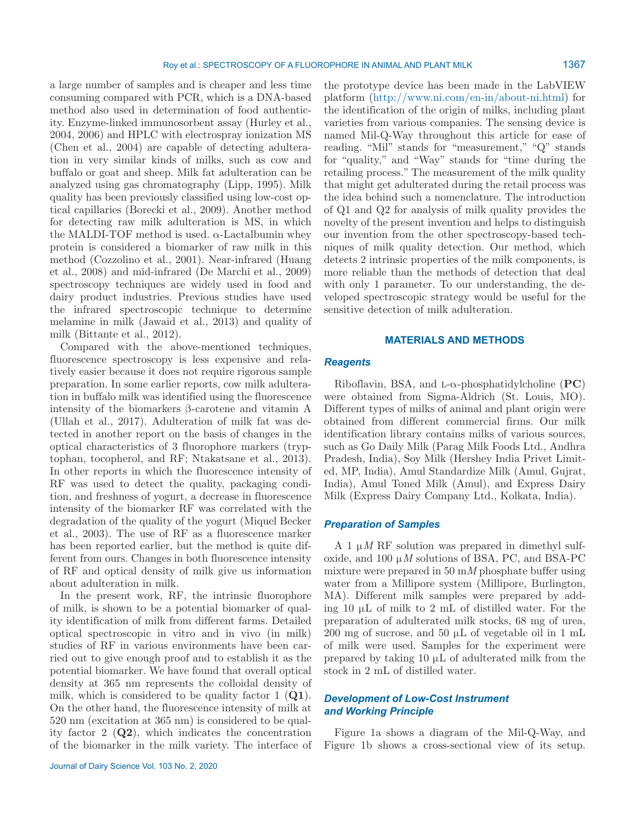a large number of samples and is cheaper and less time consuming compared with PCR, which is a DNA-based method also used in determination of food authenticity. Enzyme-linked immunosorbent assay (Hurley et al., 2004, 2006) and HPLC with electrospray ionization MS (Chen et al., 2004) are capable of detecting adulteration in very similar kinds of milks, such as cow and buffalo or goat and sheep. Milk fat adulteration can be analyzed using gas chromatography (Lipp, 1995). Milk quality has been previously classified using low-cost optical capillaries (Borecki et al., 2009). Another method for detecting raw milk adulteration is MS, in which the MALDI-TOF method is used.  $\alpha$ -Lactalbumin whey protein is considered a biomarker of raw milk in this method (Cozzolino et al., 2001). Near-infrared (Huang et al., 2008) and mid-infrared (De Marchi et al., 2009) spectroscopy techniques are widely used in food and dairy product industries. Previous studies have used the infrared spectroscopic technique to determine melamine in milk (Jawaid et al., 2013) and quality of milk (Bittante et al., 2012).

Compared with the above-mentioned techniques, fluorescence spectroscopy is less expensive and relatively easier because it does not require rigorous sample preparation. In some earlier reports, cow milk adulteration in buffalo milk was identified using the fluorescence intensity of the biomarkers β-carotene and vitamin A (Ullah et al., 2017). Adulteration of milk fat was detected in another report on the basis of changes in the optical characteristics of 3 fluorophore markers (tryptophan, tocopherol, and RF; Ntakatsane et al., 2013). In other reports in which the fluorescence intensity of RF was used to detect the quality, packaging condition, and freshness of yogurt, a decrease in fluorescence intensity of the biomarker RF was correlated with the degradation of the quality of the yogurt (Miquel Becker et al., 2003). The use of RF as a fluorescence marker has been reported earlier, but the method is quite different from ours. Changes in both fluorescence intensity of RF and optical density of milk give us information about adulteration in milk.

In the present work, RF, the intrinsic fluorophore of milk, is shown to be a potential biomarker of quality identification of milk from different farms. Detailed optical spectroscopic in vitro and in vivo (in milk) studies of RF in various environments have been carried out to give enough proof and to establish it as the potential biomarker. We have found that overall optical density at 365 nm represents the colloidal density of milk, which is considered to be quality factor 1 (**Q1**). On the other hand, the fluorescence intensity of milk at 520 nm (excitation at 365 nm) is considered to be quality factor 2 (**Q2**), which indicates the concentration of the biomarker in the milk variety. The interface of the prototype device has been made in the LabVIEW platform (http://www.ni.com/en-in/about-ni.html) for the identification of the origin of milks, including plant varieties from various companies. The sensing device is named Mil-Q-Way throughout this article for ease of reading. "Mil" stands for "measurement," "Q" stands for "quality," and "Way" stands for "time during the retailing process." The measurement of the milk quality that might get adulterated during the retail process was the idea behind such a nomenclature. The introduction of Q1 and Q2 for analysis of milk quality provides the novelty of the present invention and helps to distinguish our invention from the other spectroscopy-based techniques of milk quality detection. Our method, which detects 2 intrinsic properties of the milk components, is more reliable than the methods of detection that deal with only 1 parameter. To our understanding, the developed spectroscopic strategy would be useful for the sensitive detection of milk adulteration.

#### **MATERIALS AND METHODS**

#### *Reagents*

Riboflavin, BSA, and  $L-\alpha$ -phosphatidylcholine (**PC**) were obtained from Sigma-Aldrich (St. Louis, MO). Different types of milks of animal and plant origin were obtained from different commercial firms. Our milk identification library contains milks of various sources, such as Go Daily Milk (Parag Milk Foods Ltd., Andhra Pradesh, India), Soy Milk (Hershey India Privet Limited, MP, India), Amul Standardize Milk (Amul, Gujrat, India), Amul Toned Milk (Amul), and Express Dairy Milk (Express Dairy Company Ltd., Kolkata, India).

### *Preparation of Samples*

A 1  $\mu$ *M* RF solution was prepared in dimethyl sulfoxide, and  $100 \mu M$  solutions of BSA, PC, and BSA-PC mixture were prepared in 50 m*M* phosphate buffer using water from a Millipore system (Millipore, Burlington, MA). Different milk samples were prepared by adding 10 µL of milk to 2 mL of distilled water. For the preparation of adulterated milk stocks, 68 mg of urea, 200 mg of sucrose, and 50 µL of vegetable oil in 1 mL of milk were used. Samples for the experiment were prepared by taking  $10 \mu L$  of adulterated milk from the stock in 2 mL of distilled water.

### *Development of Low-Cost Instrument and Working Principle*

Figure 1a shows a diagram of the Mil-Q-Way, and Figure 1b shows a cross-sectional view of its setup.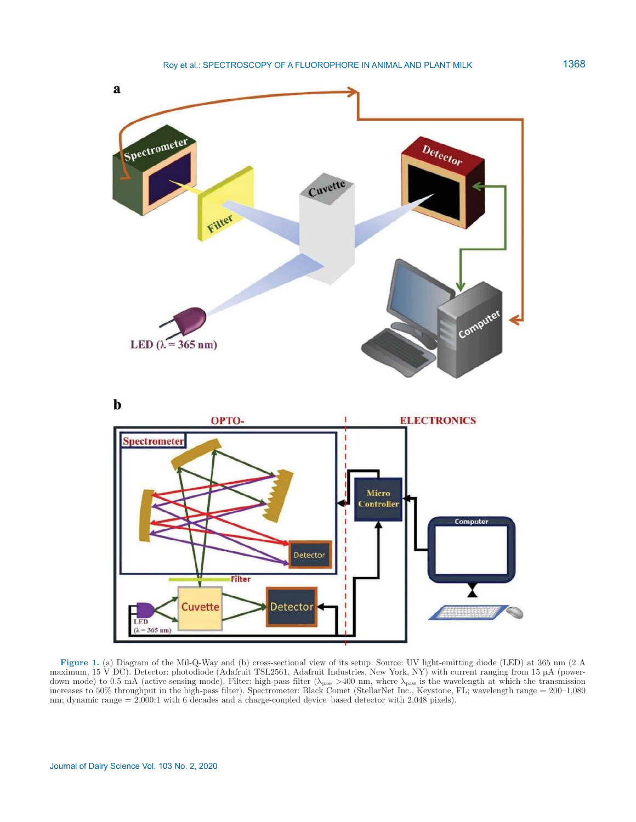

**Figure 1.** (a) Diagram of the Mil-Q-Way and (b) cross-sectional view of its setup. Source: UV light-emitting diode (LED) at 365 nm (2 A maximum, 15 V DC). Detector: photodiode (Adafruit TSL2561, Adafruit Industries, New York, NY) with current ranging from 15 µA (powerdown mode) to 0.5 mA (active-sensing mode). Filter: high-pass filter ( $\lambda_{\text{pass}} > 400$  nm, where  $\lambda_{\text{pass}}$  is the wavelength at which the transmission increases to 50% throughput in the high-pass filter). Spectrometer: Black Comet (StellarNet Inc., Keystone, FL; wavelength range = 200–1,080 nm; dynamic range = 2,000:1 with 6 decades and a charge-coupled device–based detector with 2,048 pixels).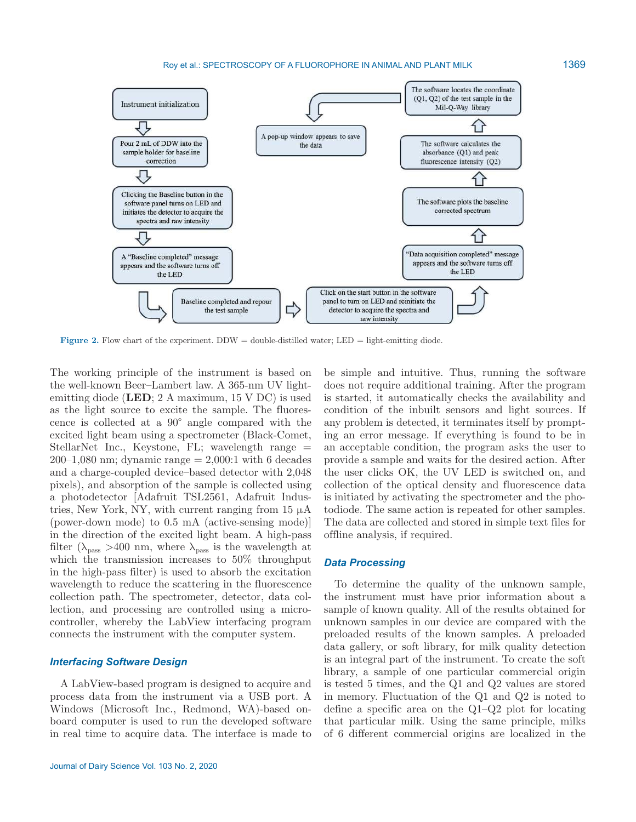Roy et al.: SPECTROSCOPY OF A FLUOROPHORE IN ANIMAL AND PLANT MILK



**Figure 2.** Flow chart of the experiment.  $DDW =$  double-distilled water;  $LED =$  light-emitting diode.

The working principle of the instrument is based on the well-known Beer–Lambert law. A 365-nm UV lightemitting diode (**LED**; 2 A maximum, 15 V DC) is used as the light source to excite the sample. The fluorescence is collected at a 90° angle compared with the excited light beam using a spectrometer (Black-Comet, StellarNet Inc., Keystone, FL; wavelength range  $=$  $200-1.080$  nm; dynamic range  $= 2.000:1$  with 6 decades and a charge-coupled device–based detector with 2,048 pixels), and absorption of the sample is collected using a photodetector [Adafruit TSL2561, Adafruit Industries, New York, NY, with current ranging from  $15 \mu A$ (power-down mode) to 0.5 mA (active-sensing mode)] in the direction of the excited light beam. A high-pass filter ( $\lambda_{\text{pass}} > 400$  nm, where  $\lambda_{\text{pass}}$  is the wavelength at which the transmission increases to 50% throughput in the high-pass filter) is used to absorb the excitation wavelength to reduce the scattering in the fluorescence collection path. The spectrometer, detector, data collection, and processing are controlled using a microcontroller, whereby the LabView interfacing program connects the instrument with the computer system.

#### *Interfacing Software Design*

A LabView-based program is designed to acquire and process data from the instrument via a USB port. A Windows (Microsoft Inc., Redmond, WA)-based onboard computer is used to run the developed software in real time to acquire data. The interface is made to be simple and intuitive. Thus, running the software does not require additional training. After the program is started, it automatically checks the availability and condition of the inbuilt sensors and light sources. If any problem is detected, it terminates itself by prompting an error message. If everything is found to be in an acceptable condition, the program asks the user to provide a sample and waits for the desired action. After the user clicks OK, the UV LED is switched on, and collection of the optical density and fluorescence data is initiated by activating the spectrometer and the photodiode. The same action is repeated for other samples. The data are collected and stored in simple text files for offline analysis, if required.

#### *Data Processing*

To determine the quality of the unknown sample, the instrument must have prior information about a sample of known quality. All of the results obtained for unknown samples in our device are compared with the preloaded results of the known samples. A preloaded data gallery, or soft library, for milk quality detection is an integral part of the instrument. To create the soft library, a sample of one particular commercial origin is tested 5 times, and the Q1 and Q2 values are stored in memory. Fluctuation of the Q1 and Q2 is noted to define a specific area on the Q1–Q2 plot for locating that particular milk. Using the same principle, milks of 6 different commercial origins are localized in the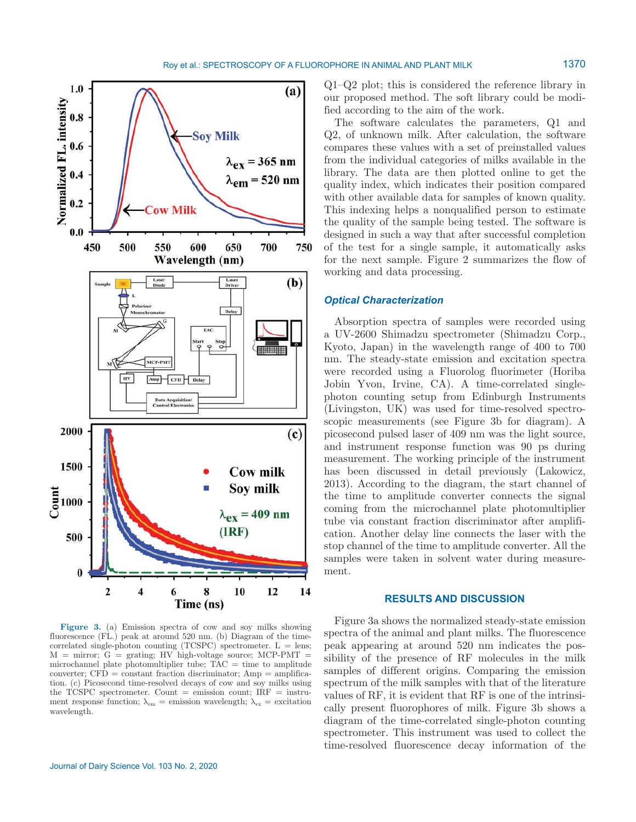

**Figure 3.** (a) Emission spectra of cow and soy milks showing fluorescence (FL.) peak at around 520 nm. (b) Diagram of the timecorrelated single-photon counting (TCSPC) spectrometer.  $L = lens$ ;  $M =$  mirror;  $G =$  grating; HV high-voltage source; MCP-PMT = microchannel plate photomultiplier tube;  $\tilde{T}AC =$  time to amplitude  $converter$ ;  $CFD = constant fraction$  discriminator;  $Amp = amplitude$ tion. (c) Picosecond time-resolved decays of cow and soy milks using the TCSPC spectrometer. Count  $=$  emission count; IRF  $=$  instrument response function;  $\lambda_{em}$  = emission wavelength;  $\lambda_{ex}$  = excitation wavelength.

Q1–Q2 plot; this is considered the reference library in our proposed method. The soft library could be modified according to the aim of the work.

The software calculates the parameters, Q1 and Q2, of unknown milk. After calculation, the software compares these values with a set of preinstalled values from the individual categories of milks available in the library. The data are then plotted online to get the quality index, which indicates their position compared with other available data for samples of known quality. This indexing helps a nonqualified person to estimate the quality of the sample being tested. The software is designed in such a way that after successful completion of the test for a single sample, it automatically asks for the next sample. Figure 2 summarizes the flow of working and data processing.

### *Optical Characterization*

Absorption spectra of samples were recorded using a UV-2600 Shimadzu spectrometer (Shimadzu Corp., Kyoto, Japan) in the wavelength range of 400 to 700 nm. The steady-state emission and excitation spectra were recorded using a Fluorolog fluorimeter (Horiba Jobin Yvon, Irvine, CA). A time-correlated singlephoton counting setup from Edinburgh Instruments (Livingston, UK) was used for time-resolved spectroscopic measurements (see Figure 3b for diagram). A picosecond pulsed laser of 409 nm was the light source, and instrument response function was 90 ps during measurement. The working principle of the instrument has been discussed in detail previously (Lakowicz, 2013). According to the diagram, the start channel of the time to amplitude converter connects the signal coming from the microchannel plate photomultiplier tube via constant fraction discriminator after amplification. Another delay line connects the laser with the stop channel of the time to amplitude converter. All the samples were taken in solvent water during measurement.

## **RESULTS AND DISCUSSION**

Figure 3a shows the normalized steady-state emission spectra of the animal and plant milks. The fluorescence peak appearing at around 520 nm indicates the possibility of the presence of RF molecules in the milk samples of different origins. Comparing the emission spectrum of the milk samples with that of the literature values of RF, it is evident that RF is one of the intrinsically present fluorophores of milk. Figure 3b shows a diagram of the time-correlated single-photon counting spectrometer. This instrument was used to collect the time-resolved fluorescence decay information of the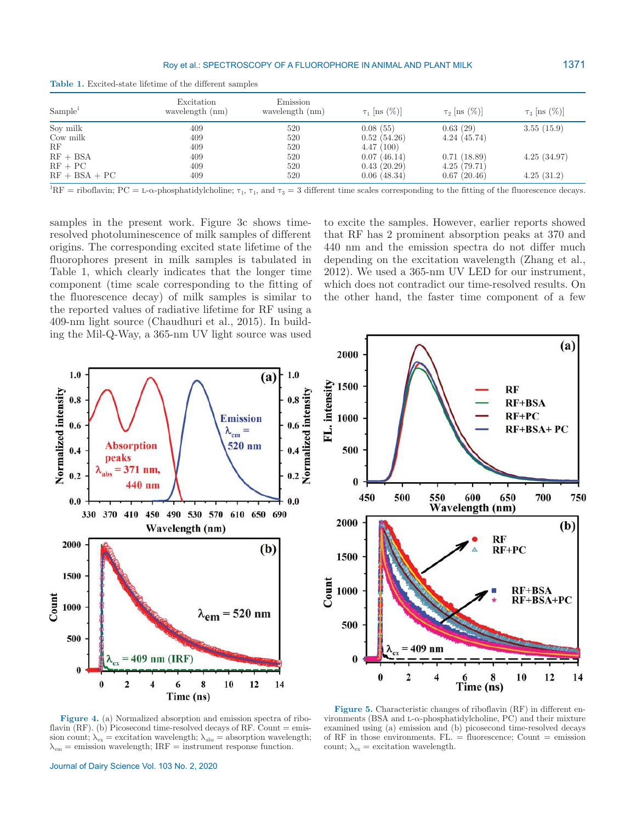#### Roy et al.: SPECTROSCOPY OF A FLUOROPHORE IN ANIMAL AND PLANT MILK

| <b>Table 1.</b> Excited-state lifetime of the different samples |  |
|-----------------------------------------------------------------|--|
|-----------------------------------------------------------------|--|

| Sample <sup>1</sup> | Excitation<br>wavelength (nm) | Emission<br>wavelength (nm) | $\tau_1$ [ns $(\%)$ ] | $\tau_2$ [ns $(\%)$ ] | $\tau_3$ [ns $(\%)$ ] |
|---------------------|-------------------------------|-----------------------------|-----------------------|-----------------------|-----------------------|
| Soy milk            | 409                           | 520                         | 0.08(55)              | 0.63(29)              | 3.55(15.9)            |
| Cow milk            | 409                           | 520                         | 0.52(54.26)           | 4.24(45.74)           |                       |
| RF                  | 409                           | 520                         | 4.47(100)             |                       |                       |
| $RF + BSA$          | 409                           | 520                         | 0.07(46.14)           | 0.71(18.89)           | 4.25(34.97)           |
| $RF + PC$           | 409                           | 520                         | 0.43(20.29)           | 4.25(79.71)           |                       |
| $RF + BSA + PC$     | 409                           | 520                         | 0.06(48.34)           | 0.67(20.46)           | 4.25(31.2)            |

<sup>1</sup>RF = riboflavin; PC = L- $\alpha$ -phosphatidylcholine;  $\tau_1$ ,  $\tau_1$ , and  $\tau_3 = 3$  different time scales corresponding to the fitting of the fluorescence decays.

samples in the present work. Figure 3c shows timeresolved photoluminescence of milk samples of different origins. The corresponding excited state lifetime of the fluorophores present in milk samples is tabulated in Table 1, which clearly indicates that the longer time component (time scale corresponding to the fitting of the fluorescence decay) of milk samples is similar to the reported values of radiative lifetime for RF using a 409-nm light source (Chaudhuri et al., 2015). In building the Mil-Q-Way, a 365-nm UV light source was used to excite the samples. However, earlier reports showed that RF has 2 prominent absorption peaks at 370 and 440 nm and the emission spectra do not differ much depending on the excitation wavelength (Zhang et al., 2012). We used a 365-nm UV LED for our instrument, which does not contradict our time-resolved results. On the other hand, the faster time component of a few





**Figure 4.** (a) Normalized absorption and emission spectra of riboflavin  $(RF)$ . (b) Picosecond time-resolved decays of RF. Count  $=$  emission count;  $\lambda_{ex}$  = excitation wavelength;  $\lambda_{abs}$  = absorption wavelength;  $\lambda_{em}$  = emission wavelength; IRF = instrument response function.

**Figure 5.** Characteristic changes of riboflavin (RF) in different environments (BSA and L- $\alpha$ -phosphatidylcholine, PC) and their mixture examined using (a) emission and (b) picosecond time-resolved decays of RF in those environments. FL.  $=$  fluorescence; Count  $=$  emission count;  $\lambda_{\text{ex}}$  = excitation wavelength.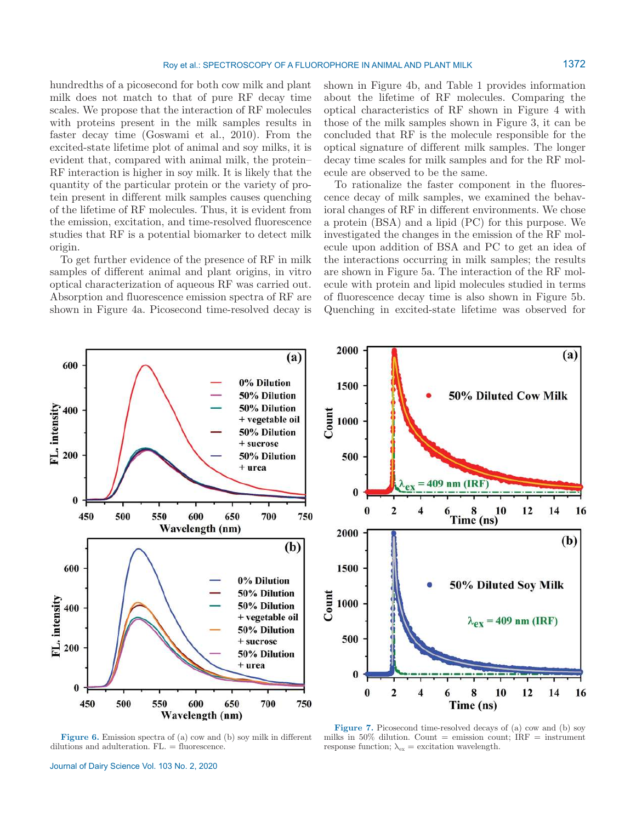hundredths of a picosecond for both cow milk and plant milk does not match to that of pure RF decay time scales. We propose that the interaction of RF molecules with proteins present in the milk samples results in faster decay time (Goswami et al., 2010). From the excited-state lifetime plot of animal and soy milks, it is evident that, compared with animal milk, the protein– RF interaction is higher in soy milk. It is likely that the quantity of the particular protein or the variety of protein present in different milk samples causes quenching of the lifetime of RF molecules. Thus, it is evident from the emission, excitation, and time-resolved fluorescence studies that RF is a potential biomarker to detect milk origin.

To get further evidence of the presence of RF in milk samples of different animal and plant origins, in vitro optical characterization of aqueous RF was carried out. Absorption and fluorescence emission spectra of RF are shown in Figure 4a. Picosecond time-resolved decay is shown in Figure 4b, and Table 1 provides information about the lifetime of RF molecules. Comparing the optical characteristics of RF shown in Figure 4 with those of the milk samples shown in Figure 3, it can be concluded that RF is the molecule responsible for the optical signature of different milk samples. The longer decay time scales for milk samples and for the RF molecule are observed to be the same.

To rationalize the faster component in the fluorescence decay of milk samples, we examined the behavioral changes of RF in different environments. We chose a protein (BSA) and a lipid (PC) for this purpose. We investigated the changes in the emission of the RF molecule upon addition of BSA and PC to get an idea of the interactions occurring in milk samples; the results are shown in Figure 5a. The interaction of the RF molecule with protein and lipid molecules studied in terms of fluorescence decay time is also shown in Figure 5b. Quenching in excited-state lifetime was observed for



**Figure 6.** Emission spectra of (a) cow and (b) soy milk in different dilutions and adulteration. FL. = fluorescence.



**Figure 7.** Picosecond time-resolved decays of (a) cow and (b) soy milks in 50% dilution. Count = emission count;  $IRF =$  instrument response function;  $\lambda_{\text{ex}}$  = excitation wavelength.

Journal of Dairy Science Vol. 103 No. 2, 2020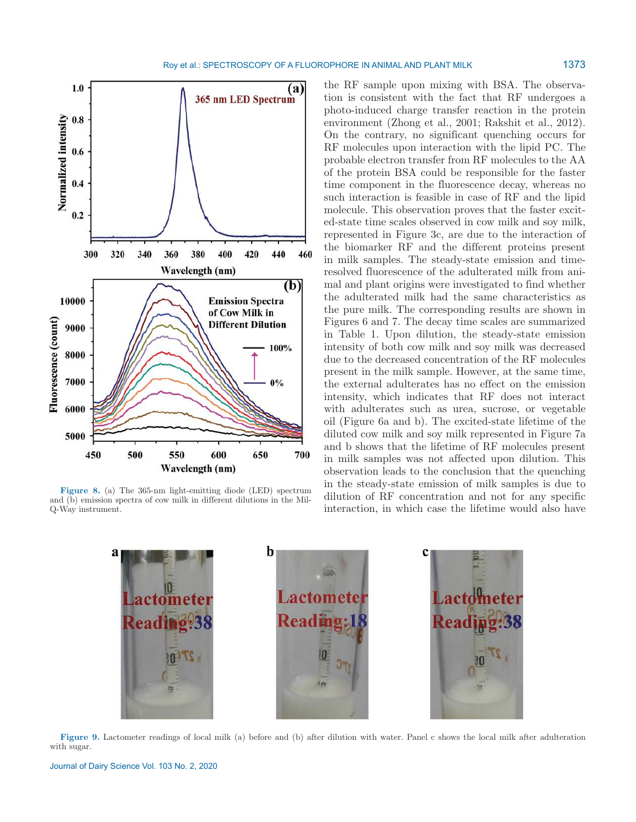

**Figure 8.** (a) The 365-nm light-emitting diode (LED) spectrum and (b) emission spectra of cow milk in different dilutions in the Mil-Q-Way instrument.

the RF sample upon mixing with BSA. The observation is consistent with the fact that RF undergoes a photo-induced charge transfer reaction in the protein environment (Zhong et al., 2001; Rakshit et al., 2012). On the contrary, no significant quenching occurs for RF molecules upon interaction with the lipid PC. The probable electron transfer from RF molecules to the AA of the protein BSA could be responsible for the faster time component in the fluorescence decay, whereas no such interaction is feasible in case of RF and the lipid molecule. This observation proves that the faster excited-state time scales observed in cow milk and soy milk, represented in Figure 3c, are due to the interaction of the biomarker RF and the different proteins present in milk samples. The steady-state emission and timeresolved fluorescence of the adulterated milk from animal and plant origins were investigated to find whether the adulterated milk had the same characteristics as the pure milk. The corresponding results are shown in Figures 6 and 7. The decay time scales are summarized in Table 1. Upon dilution, the steady-state emission intensity of both cow milk and soy milk was decreased due to the decreased concentration of the RF molecules present in the milk sample. However, at the same time, the external adulterates has no effect on the emission intensity, which indicates that RF does not interact with adulterates such as urea, sucrose, or vegetable oil (Figure 6a and b). The excited-state lifetime of the diluted cow milk and soy milk represented in Figure 7a and b shows that the lifetime of RF molecules present in milk samples was not affected upon dilution. This observation leads to the conclusion that the quenching in the steady-state emission of milk samples is due to dilution of RF concentration and not for any specific interaction, in which case the lifetime would also have



**Figure 9.** Lactometer readings of local milk (a) before and (b) after dilution with water. Panel c shows the local milk after adulteration with sugar.

Journal of Dairy Science Vol. 103 No. 2, 2020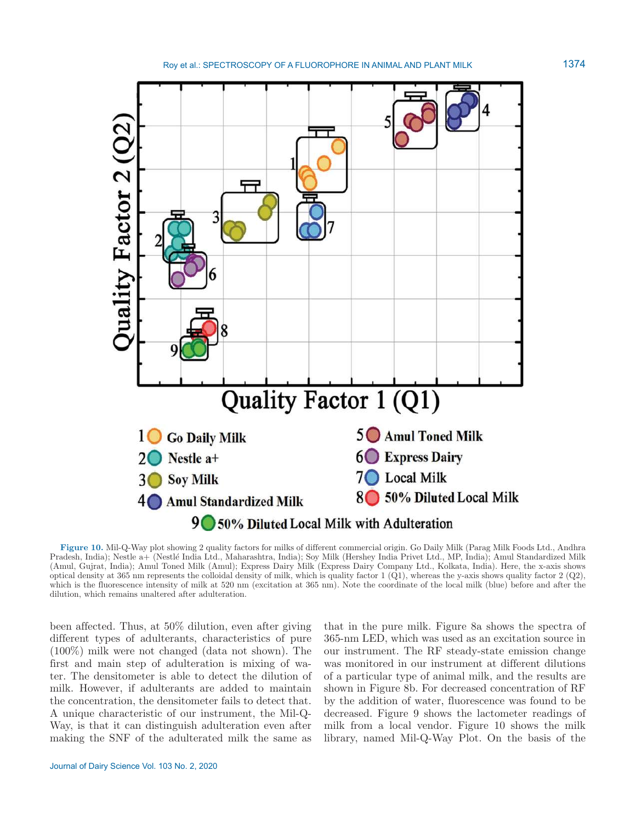

**Figure 10.** Mil-Q-Way plot showing 2 quality factors for milks of different commercial origin. Go Daily Milk (Parag Milk Foods Ltd., Andhra Pradesh, India); Nestle a+ (Nestlé India Ltd., Maharashtra, India); Soy Milk (Hershey India Privet Ltd., MP, India); Amul Standardized Milk (Amul, Gujrat, India); Amul Toned Milk (Amul); Express Dairy Milk (Express Dairy Company Ltd., Kolkata, India). Here, the x-axis shows optical density at 365 nm represents the colloidal density of milk, which is quality factor  $1$  (Q1), whereas the y-axis shows quality factor  $2$  (Q2), which is the fluorescence intensity of milk at 520 nm (excitation at 365 nm). Note the coordinate of the local milk (blue) before and after the dilution, which remains unaltered after adulteration.

been affected. Thus, at 50% dilution, even after giving different types of adulterants, characteristics of pure (100%) milk were not changed (data not shown). The first and main step of adulteration is mixing of water. The densitometer is able to detect the dilution of milk. However, if adulterants are added to maintain the concentration, the densitometer fails to detect that. A unique characteristic of our instrument, the Mil-Q-Way, is that it can distinguish adulteration even after making the SNF of the adulterated milk the same as

that in the pure milk. Figure 8a shows the spectra of 365-nm LED, which was used as an excitation source in our instrument. The RF steady-state emission change was monitored in our instrument at different dilutions of a particular type of animal milk, and the results are shown in Figure 8b. For decreased concentration of RF by the addition of water, fluorescence was found to be decreased. Figure 9 shows the lactometer readings of milk from a local vendor. Figure 10 shows the milk library, named Mil-Q-Way Plot. On the basis of the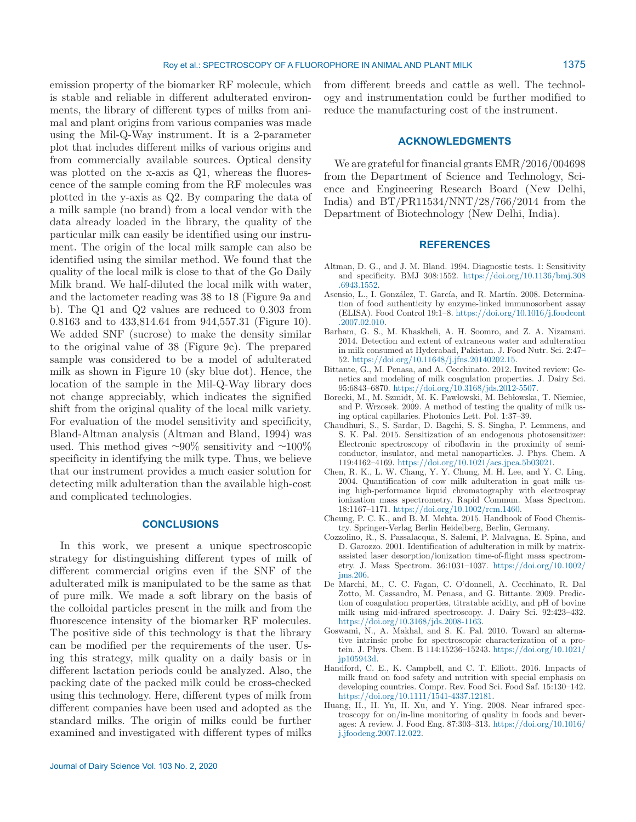emission property of the biomarker RF molecule, which is stable and reliable in different adulterated environments, the library of different types of milks from animal and plant origins from various companies was made using the Mil-Q-Way instrument. It is a 2-parameter plot that includes different milks of various origins and from commercially available sources. Optical density was plotted on the x-axis as Q1, whereas the fluorescence of the sample coming from the RF molecules was plotted in the y-axis as Q2. By comparing the data of a milk sample (no brand) from a local vendor with the data already loaded in the library, the quality of the particular milk can easily be identified using our instrument. The origin of the local milk sample can also be identified using the similar method. We found that the quality of the local milk is close to that of the Go Daily Milk brand. We half-diluted the local milk with water, and the lactometer reading was 38 to 18 (Figure 9a and b). The Q1 and Q2 values are reduced to 0.303 from 0.8163 and to 433,814.64 from 944,557.31 (Figure 10). We added SNF (sucrose) to make the density similar to the original value of 38 (Figure 9c). The prepared sample was considered to be a model of adulterated milk as shown in Figure 10 (sky blue dot). Hence, the location of the sample in the Mil-Q-Way library does not change appreciably, which indicates the signified shift from the original quality of the local milk variety. For evaluation of the model sensitivity and specificity, Bland-Altman analysis (Altman and Bland, 1994) was used. This method gives  $\sim 90\%$  sensitivity and  $\sim 100\%$ specificity in identifying the milk type. Thus, we believe that our instrument provides a much easier solution for detecting milk adulteration than the available high-cost and complicated technologies.

# **CONCLUSIONS**

In this work, we present a unique spectroscopic strategy for distinguishing different types of milk of different commercial origins even if the SNF of the adulterated milk is manipulated to be the same as that of pure milk. We made a soft library on the basis of the colloidal particles present in the milk and from the fluorescence intensity of the biomarker RF molecules. The positive side of this technology is that the library can be modified per the requirements of the user. Using this strategy, milk quality on a daily basis or in different lactation periods could be analyzed. Also, the packing date of the packed milk could be cross-checked using this technology. Here, different types of milk from different companies have been used and adopted as the standard milks. The origin of milks could be further examined and investigated with different types of milks from different breeds and cattle as well. The technology and instrumentation could be further modified to reduce the manufacturing cost of the instrument.

### **ACKNOWLEDGMENTS**

We are grateful for financial grants EMR/2016/004698 from the Department of Science and Technology, Science and Engineering Research Board (New Delhi, India) and BT/PR11534/NNT/28/766/2014 from the Department of Biotechnology (New Delhi, India).

# **REFERENCES**

- Altman, D. G., and J. M. Bland. 1994. Diagnostic tests. 1: Sensitivity and specificity. BMJ 308:1552. https://doi.org/10.1136/bmj.308 .6943 .1552.
- Asensio, L., I. González, T. García, and R. Martín. 2008. Determination of food authenticity by enzyme-linked immunosorbent assay (ELISA). Food Control 19:1–8. https: / / doi .org/ 10 .1016/ j .foodcont .2007 .02 .010.
- Barham, G. S., M. Khaskheli, A. H. Soomro, and Z. A. Nizamani. 2014. Detection and extent of extraneous water and adulteration in milk consumed at Hyderabad, Pakistan. J. Food Nutr. Sci. 2:47– 52. https://doi.org/10.11648/j.jfns.20140202.15.
- Bittante, G., M. Penasa, and A. Cecchinato. 2012. Invited review: Genetics and modeling of milk coagulation properties. J. Dairy Sci. 95:6843–6870. https: / / doi .org/ 10 .3168/ jds .2012 -5507.
- Borecki, M., M. Szmidt, M. K. Pawłowski, M. Bebłowska, T. Niemiec, and P. Wrzosek. 2009. A method of testing the quality of milk using optical capillaries. Photonics Lett. Pol. 1:37–39.
- Chaudhuri, S., S. Sardar, D. Bagchi, S. S. Singha, P. Lemmens, and S. K. Pal. 2015. Sensitization of an endogenous photosensitizer: Electronic spectroscopy of riboflavin in the proximity of semiconductor, insulator, and metal nanoparticles. J. Phys. Chem. A 119:4162–4169. https: / / doi .org/ 10 .1021/ acs .jpca .5b03021.
- Chen, R. K., L. W. Chang, Y. Y. Chung, M. H. Lee, and Y. C. Ling. 2004. Quantification of cow milk adulteration in goat milk using high-performance liquid chromatography with electrospray ionization mass spectrometry. Rapid Commun. Mass Spectrom. 18:1167–1171. https: / / doi .org/ 10 .1002/ rcm .1460.
- Cheung, P. C. K., and B. M. Mehta. 2015. Handbook of Food Chemistry. Springer-Verlag Berlin Heidelberg, Berlin, Germany.
- Cozzolino, R., S. Passalacqua, S. Salemi, P. Malvagna, E. Spina, and D. Garozzo. 2001. Identification of adulteration in milk by matrixassisted laser desorption/ionization time-of-flight mass spectrometry. J. Mass Spectrom. 36:1031-1037. https://doi.org/10.1002/ jms .206.
- De Marchi, M., C. C. Fagan, C. O'donnell, A. Cecchinato, R. Dal Zotto, M. Cassandro, M. Penasa, and G. Bittante. 2009. Prediction of coagulation properties, titratable acidity, and pH of bovine milk using mid-infrared spectroscopy. J. Dairy Sci. 92:423–432. https://doi.org/10.3168/jds.2008-1163.
- Goswami, N., A. Makhal, and S. K. Pal. 2010. Toward an alternative intrinsic probe for spectroscopic characterization of a protein. J. Phys. Chem. B 114:15236–15243. https: / / doi .org/ 10 .1021/ jp105943d.
- Handford, C. E., K. Campbell, and C. T. Elliott. 2016. Impacts of milk fraud on food safety and nutrition with special emphasis on developing countries. Compr. Rev. Food Sci. Food Saf. 15:130–142. https://doi.org/10.1111/1541-4337.12181.
- Huang, H., H. Yu, H. Xu, and Y. Ying. 2008. Near infrared spectroscopy for on/in-line monitoring of quality in foods and beverages: A review. J. Food Eng. 87:303–313. https: / / doi .org/ 10 .1016/ j .jfoodeng .2007 .12 .022.